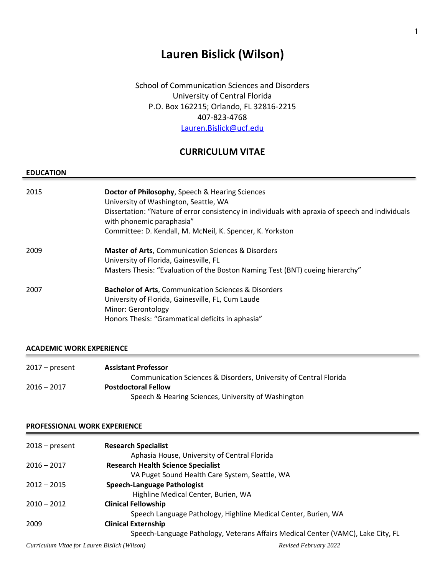# **Lauren Bislick (Wilson)**

School of Communication Sciences and Disorders University of Central Florida P.O. Box 162215; Orlando, FL 32816-2215 407-823-4768 [Lauren.Bislick@ucf.edu](mailto:Lauren.Bislick@ucf.edu)

### **CURRICULUM VITAE**

#### **EDUCATION**

| 2015 | Doctor of Philosophy, Speech & Hearing Sciences<br>University of Washington, Seattle, WA<br>Dissertation: "Nature of error consistency in individuals with apraxia of speech and individuals<br>with phonemic paraphasia"<br>Committee: D. Kendall, M. McNeil, K. Spencer, K. Yorkston |
|------|----------------------------------------------------------------------------------------------------------------------------------------------------------------------------------------------------------------------------------------------------------------------------------------|
| 2009 | <b>Master of Arts, Communication Sciences &amp; Disorders</b><br>University of Florida, Gainesville, FL<br>Masters Thesis: "Evaluation of the Boston Naming Test (BNT) cueing hierarchy"                                                                                               |
| 2007 | <b>Bachelor of Arts, Communication Sciences &amp; Disorders</b><br>University of Florida, Gainesville, FL, Cum Laude<br>Minor: Gerontology<br>Honors Thesis: "Grammatical deficits in aphasia"                                                                                         |

### **ACADEMIC WORK EXPERIENCE**

| $2017 - present$ | <b>Assistant Professor</b>                                        |
|------------------|-------------------------------------------------------------------|
|                  | Communication Sciences & Disorders, University of Central Florida |
| $2016 - 2017$    | <b>Postdoctoral Fellow</b>                                        |
|                  | Speech & Hearing Sciences, University of Washington               |

#### **PROFESSIONAL WORK EXPERIENCE**

| $2018 - present$ | <b>Research Specialist</b>                                                       |
|------------------|----------------------------------------------------------------------------------|
|                  | Aphasia House, University of Central Florida                                     |
| $2016 - 2017$    | <b>Research Health Science Specialist</b>                                        |
|                  | VA Puget Sound Health Care System, Seattle, WA                                   |
| $2012 - 2015$    | Speech-Language Pathologist                                                      |
|                  | Highline Medical Center, Burien, WA                                              |
| $2010 - 2012$    | <b>Clinical Fellowship</b>                                                       |
|                  | Speech Language Pathology, Highline Medical Center, Burien, WA                   |
| 2009             | <b>Clinical Externship</b>                                                       |
|                  | Speech-Language Pathology, Veterans Affairs Medical Center (VAMC), Lake City, FL |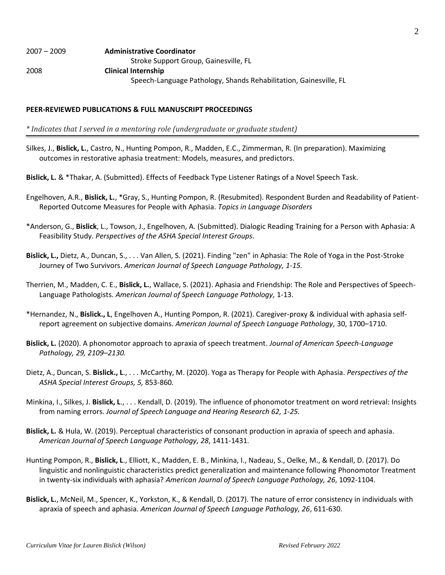#### **PEER-REVIEWED PUBLICATIONS & FULL MANUSCRIPT PROCEEDINGS**

*\* Indicates that I served in a mentoring role (undergraduate or graduate student)*

- Silkes, J., **Bislick, L.**, Castro, N., Hunting Pompon, R., Madden, E.C., Zimmerman, R. (In preparation). Maximizing outcomes in restorative aphasia treatment: Models, measures, and predictors.
- **Bislick, L.** & \*Thakar, A. (Submitted). Effects of Feedback Type Listener Ratings of a Novel Speech Task.
- Engelhoven, A.R., **Bislick, L.**, \*Gray, S., Hunting Pompon, R. (Resubmited). Respondent Burden and Readability of Patient-Reported Outcome Measures for People with Aphasia. *Topics in Language Disorders*
- \*Anderson, G., **Bislick**, L., Towson, J., Engelhoven, A. (Submitted). Dialogic Reading Training for a Person with Aphasia: A Feasibility Study. *Perspectives of the ASHA Special Interest Groups.*
- **Bislick, L.,** Dietz, A., Duncan, S., . . . Van Allen, S. (2021). Finding "zen" in Aphasia: The Role of Yoga in the Post-Stroke Journey of Two Survivors. *American Journal of Speech Language Pathology, 1-15.*
- Therrien, M., Madden, C. E., **Bislick, L.**, Wallace, S. (2021). Aphasia and Friendship: The Role and Perspectives of Speech-Language Pathologists. *American Journal of Speech Language Pathology,* 1-13.
- \*Hernandez, N., **Bislick., L**, Engelhoven A., Hunting Pompon, R. (2021). Caregiver-proxy & individual with aphasia selfreport agreement on subjective domains. *American Journal of Speech Language Pathology,* 30, 1700–1710.
- **Bislick, L.** (2020). A phonomotor approach to apraxia of speech treatment. *Journal of American Speech-Language Pathology, 29, 2109–2130.*
- Dietz, A., Duncan, S. **Bislick., L**., . . . McCarthy, M. (2020). Yoga as Therapy for People with Aphasia. *Perspectives of the ASHA Special Interest Groups, 5,* 853-860*.*
- Minkina, I., Silkes, J. **Bislick, L**., . . . Kendall, D. (2019). The influence of phonomotor treatment on word retrieval: Insights from naming errors. *Journal of Speech Language and Hearing Research 62, 1-25.*
- **Bislick, L.** & Hula, W. (2019). Perceptual characteristics of consonant production in apraxia of speech and aphasia. *American Journal of Speech Language Pathology, 28*, 1411-1431.
- Hunting Pompon, R., **Bislick, L**., Elliott, K., Madden, E. B., Minkina, I., Nadeau, S., Oelke, M., & Kendall, D. (2017). Do linguistic and nonlinguistic characteristics predict generalization and maintenance following Phonomotor Treatment in twenty-six individuals with aphasia? *American Journal of Speech Language Pathology, 26*, 1092-1104.
- **Bislick, L.**, McNeil, M., Spencer, K., Yorkston, K., & Kendall, D. (2017). The nature of error consistency in individuals with apraxia of speech and aphasia. *American Journal of Speech Language Pathology, 26*, 611-630.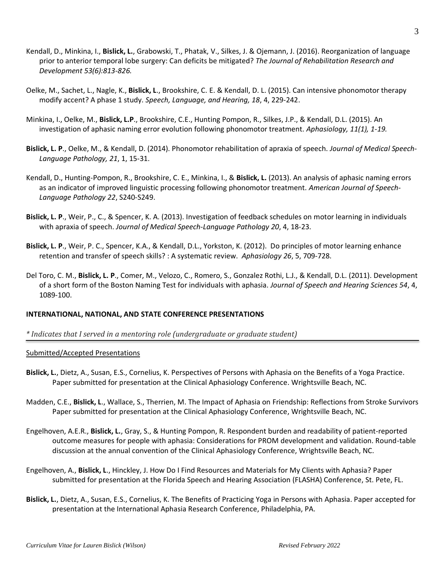- Kendall, D., Minkina, I., **Bislick, L.**, Grabowski, T., Phatak, V., Silkes, J. & Ojemann, J. (2016). Reorganization of language prior to anterior temporal lobe surgery: Can deficits be mitigated? *The Journal of Rehabilitation Research and Development 53(6):813-826.*
- Oelke, M., Sachet, L., Nagle, K., **Bislick, L**., Brookshire, C. E. & Kendall, D. L. (2015). Can intensive phonomotor therapy modify accent? A phase 1 study. *Speech, Language, and Hearing, 18*, 4, 229-242.
- Minkina, I., Oelke, M., **Bislick, L.P**., Brookshire, C.E., Hunting Pompon, R., Silkes, J.P., & Kendall, D.L. (2015). An investigation of aphasic naming error evolution following phonomotor treatment. *Aphasiology, 11(1), 1-19.*
- **Bislick, L. P**., Oelke, M., & Kendall, D. (2014). Phonomotor rehabilitation of apraxia of speech. *Journal of Medical Speech-Language Pathology, 21*, 1, 15-31.
- Kendall, D., Hunting-Pompon, R., Brookshire, C. E., Minkina, I., & **Bislick, L.** (2013). An analysis of aphasic naming errors as an indicator of improved linguistic processing following phonomotor treatment. *American Journal of Speech-Language Pathology 22*, S240-S249.
- **Bislick, L. P**., Weir, P., C., & Spencer, K. A. (2013). Investigation of feedback schedules on motor learning in individuals with apraxia of speech. *Journal of Medical Speech-Language Pathology 20*, 4, 18-23.
- **Bislick, L. P**., Weir, P. C., Spencer, K.A., & Kendall, D.L., Yorkston, K. (2012). Do principles of motor learning enhance retention and transfer of speech skills? : A systematic review. *Aphasiology 26*, 5, 709-728.
- Del Toro, C. M., **Bislick, L. P**., Comer, M., Velozo, C., Romero, S., Gonzalez Rothi, L.J., & Kendall, D.L. (2011). Development of a short form of the Boston Naming Test for individuals with aphasia. *Journal of Speech and Hearing Sciences 54*, 4, 1089-100.

### **INTERNATIONAL, NATIONAL, AND STATE CONFERENCE PRESENTATIONS**

*\* Indicates that I served in a mentoring role (undergraduate or graduate student)*

#### Submitted/Accepted Presentations

- **Bislick, L.**, Dietz, A., Susan, E.S., Cornelius, K. Perspectives of Persons with Aphasia on the Benefits of a Yoga Practice. Paper submitted for presentation at the Clinical Aphasiology Conference. Wrightsville Beach, NC.
- Madden, C.E., **Bislick, L**., Wallace, S., Therrien, M. The Impact of Aphasia on Friendship: Reflections from Stroke Survivors Paper submitted for presentation at the Clinical Aphasiology Conference, Wrightsville Beach, NC.
- Engelhoven, A.E.R., **Bislick, L.**, Gray, S., & Hunting Pompon, R. Respondent burden and readability of patient-reported outcome measures for people with aphasia: Considerations for PROM development and validation. Round-table discussion at the annual convention of the Clinical Aphasiology Conference, Wrightsville Beach, NC.
- Engelhoven, A., **Bislick, L**., Hinckley, J. How Do I Find Resources and Materials for My Clients with Aphasia? Paper submitted for presentation at the Florida Speech and Hearing Association (FLASHA) Conference, St. Pete, FL.
- **Bislick, L.**, Dietz, A., Susan, E.S., Cornelius, K. The Benefits of Practicing Yoga in Persons with Aphasia. Paper accepted for presentation at the International Aphasia Research Conference, Philadelphia, PA.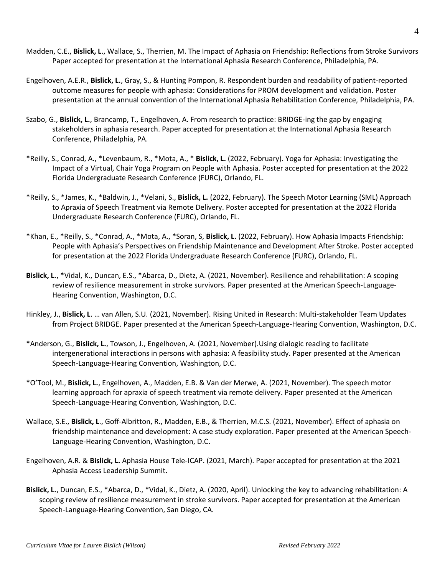- Madden, C.E., **Bislick, L**., Wallace, S., Therrien, M. The Impact of Aphasia on Friendship: Reflections from Stroke Survivors Paper accepted for presentation at the International Aphasia Research Conference, Philadelphia, PA.
- Engelhoven, A.E.R., **Bislick, L.**, Gray, S., & Hunting Pompon, R. Respondent burden and readability of patient-reported outcome measures for people with aphasia: Considerations for PROM development and validation. Poster presentation at the annual convention of the International Aphasia Rehabilitation Conference, Philadelphia, PA.
- Szabo, G., **Bislick, L.**, Brancamp, T., Engelhoven, A. From research to practice: BRIDGE-ing the gap by engaging stakeholders in aphasia research. Paper accepted for presentation at the International Aphasia Research Conference, Philadelphia, PA.
- \*Reilly, S., Conrad, A., \*Levenbaum, R., \*Mota, A., \* **Bislick, L.** (2022, February). Yoga for Aphasia: Investigating the Impact of a Virtual, Chair Yoga Program on People with Aphasia. Poster accepted for presentation at the 2022 Florida Undergraduate Research Conference (FURC), Orlando, FL.
- \*Reilly, S., \*James, K., \*Baldwin, J., \*Velani, S., **Bislick, L.** (2022, February). The Speech Motor Learning (SML) Approach to Apraxia of Speech Treatment via Remote Delivery. Poster accepted for presentation at the 2022 Florida Undergraduate Research Conference (FURC), Orlando, FL.
- \*Khan, E., \*Reilly, S., \*Conrad, A., \*Mota, A., \*Soran, S, **Bislick, L.** (2022, February). How Aphasia Impacts Friendship: People with Aphasia's Perspectives on Friendship Maintenance and Development After Stroke. Poster accepted for presentation at the 2022 Florida Undergraduate Research Conference (FURC), Orlando, FL.
- **Bislick, L.**, \*Vidal, K., Duncan, E.S., \*Abarca, D., Dietz, A. (2021, November). Resilience and rehabilitation: A scoping review of resilience measurement in stroke survivors. Paper presented at the American Speech-Language-Hearing Convention, Washington, D.C.
- Hinkley, J., **Bislick, L**. … van Allen, S.U. (2021, November). Rising United in Research: Multi-stakeholder Team Updates from Project BRIDGE. Paper presented at the American Speech-Language-Hearing Convention, Washington, D.C.
- \*Anderson, G., **Bislick, L.**, Towson, J., Engelhoven, A. (2021, November).Using dialogic reading to facilitate intergenerational interactions in persons with aphasia: A feasibility study. Paper presented at the American Speech-Language-Hearing Convention, Washington, D.C.
- \*O'Tool, M., **Bislick, L.**, Engelhoven, A., Madden, E.B. & Van der Merwe, A. (2021, November). The speech motor learning approach for apraxia of speech treatment via remote delivery. Paper presented at the American Speech-Language-Hearing Convention, Washington, D.C.
- Wallace, S.E., **Bislick, L**., Goff-Albritton, R., Madden, E.B., & Therrien, M.C.S. (2021, November). Effect of aphasia on friendship maintenance and development: A case study exploration. Paper presented at the American Speech-Language-Hearing Convention, Washington, D.C.
- Engelhoven, A.R. & **Bislick, L.** Aphasia House Tele-ICAP. (2021, March). Paper accepted for presentation at the 2021 Aphasia Access Leadership Summit.
- **Bislick, L.**, Duncan, E.S., \*Abarca, D., \*Vidal, K., Dietz, A. (2020, April). Unlocking the key to advancing rehabilitation: A scoping review of resilience measurement in stroke survivors. Paper accepted for presentation at the American Speech-Language-Hearing Convention, San Diego, CA.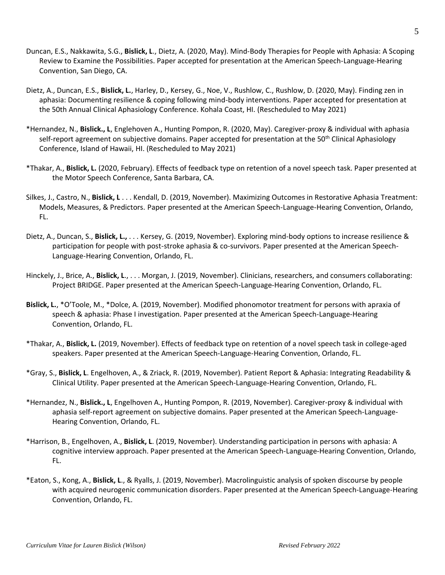- Duncan, E.S., Nakkawita, S.G., **Bislick, L**., Dietz, A. (2020, May). Mind-Body Therapies for People with Aphasia: A Scoping Review to Examine the Possibilities. Paper accepted for presentation at the American Speech-Language-Hearing Convention, San Diego, CA.
- Dietz, A., Duncan, E.S., **Bislick, L.**, Harley, D., Kersey, G., Noe, V., Rushlow, C., Rushlow, D. (2020, May). Finding zen in aphasia: Documenting resilience & coping following mind-body interventions. Paper accepted for presentation at the 50th Annual Clinical Aphasiology Conference. Kohala Coast, HI. (Rescheduled to May 2021)
- \*Hernandez, N., **Bislick., L**, Englehoven A., Hunting Pompon, R. (2020, May). Caregiver-proxy & individual with aphasia self-report agreement on subjective domains. Paper accepted for presentation at the 50<sup>th</sup> Clinical Aphasiology Conference, Island of Hawaii, HI. (Rescheduled to May 2021)
- \*Thakar, A., **Bislick, L.** (2020, February). Effects of feedback type on retention of a novel speech task. Paper presented at the Motor Speech Conference, Santa Barbara, CA.
- Silkes, J., Castro, N., **Bislick, L** . . . Kendall, D. (2019, November). Maximizing Outcomes in Restorative Aphasia Treatment: Models, Measures, & Predictors. Paper presented at the American Speech-Language-Hearing Convention, Orlando, FL.
- Dietz, A., Duncan, S., **Bislick, L.,** . . . Kersey, G. (2019, November). Exploring mind-body options to increase resilience & participation for people with post-stroke aphasia & co-survivors. Paper presented at the American Speech-Language-Hearing Convention, Orlando, FL.
- Hinckely, J., Brice, A., **Bislick, L**., . . . Morgan, J. (2019, November). Clinicians, researchers, and consumers collaborating: Project BRIDGE. Paper presented at the American Speech-Language-Hearing Convention, Orlando, FL.
- **Bislick, L.**, \*O'Toole, M., \*Dolce, A. (2019, November). Modified phonomotor treatment for persons with apraxia of speech & aphasia: Phase I investigation. Paper presented at the American Speech-Language-Hearing Convention, Orlando, FL.
- \*Thakar, A., **Bislick, L.** (2019, November). Effects of feedback type on retention of a novel speech task in college-aged speakers. Paper presented at the American Speech-Language-Hearing Convention, Orlando, FL.
- \*Gray, S., **Bislick, L**. Engelhoven, A., & Zriack, R. (2019, November). Patient Report & Aphasia: Integrating Readability & Clinical Utility. Paper presented at the American Speech-Language-Hearing Convention, Orlando, FL.
- \*Hernandez, N., **Bislick., L**, Engelhoven A., Hunting Pompon, R. (2019, November). Caregiver-proxy & individual with aphasia self-report agreement on subjective domains. Paper presented at the American Speech-Language-Hearing Convention, Orlando, FL.
- \*Harrison, B., Engelhoven, A., **Bislick, L**. (2019, November). Understanding participation in persons with aphasia: A cognitive interview approach. Paper presented at the American Speech-Language-Hearing Convention, Orlando, FL.
- \*Eaton, S., Kong, A., **Bislick, L**., & Ryalls, J. (2019, November). Macrolinguistic analysis of spoken discourse by people with acquired neurogenic communication disorders. Paper presented at the American Speech-Language-Hearing Convention, Orlando, FL.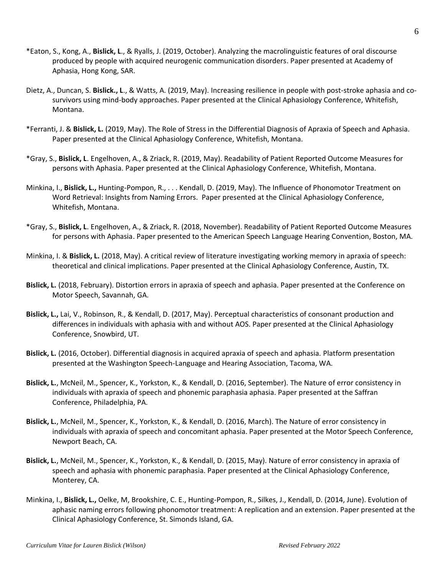- \*Eaton, S., Kong, A., **Bislick, L**., & Ryalls, J. (2019, October). Analyzing the macrolinguistic features of oral discourse produced by people with acquired neurogenic communication disorders. Paper presented at Academy of Aphasia, Hong Kong, SAR.
- Dietz, A., Duncan, S. **Bislick., L**., & Watts, A. (2019, May). Increasing resilience in people with post-stroke aphasia and cosurvivors using mind-body approaches. Paper presented at the Clinical Aphasiology Conference, Whitefish, Montana.
- \*Ferranti, J. & **Bislick, L.** (2019, May). The Role of Stress in the Differential Diagnosis of Apraxia of Speech and Aphasia. Paper presented at the Clinical Aphasiology Conference, Whitefish, Montana.
- \*Gray, S., **Bislick, L**. Engelhoven, A., & Zriack, R. (2019, May). Readability of Patient Reported Outcome Measures for persons with Aphasia. Paper presented at the Clinical Aphasiology Conference, Whitefish, Montana.
- Minkina, I., **Bislick, L.,** Hunting-Pompon, R., . . . Kendall, D. (2019, May). The Influence of Phonomotor Treatment on Word Retrieval: Insights from Naming Errors. Paper presented at the Clinical Aphasiology Conference, Whitefish, Montana.
- \*Gray, S., **Bislick, L**. Engelhoven, A., & Zriack, R. (2018, November). Readability of Patient Reported Outcome Measures for persons with Aphasia. Paper presented to the American Speech Language Hearing Convention, Boston, MA.
- Minkina, I. & **Bislick, L.** (2018, May). A critical review of literature investigating working memory in apraxia of speech: theoretical and clinical implications. Paper presented at the Clinical Aphasiology Conference, Austin, TX.
- **Bislick, L.** (2018, February). Distortion errors in apraxia of speech and aphasia. Paper presented at the Conference on Motor Speech, Savannah, GA.
- **Bislick, L.,** Lai, V., Robinson, R., & Kendall, D. (2017, May). Perceptual characteristics of consonant production and differences in individuals with aphasia with and without AOS. Paper presented at the Clinical Aphasiology Conference, Snowbird, UT.
- **Bislick, L.** (2016, October). Differential diagnosis in acquired apraxia of speech and aphasia. Platform presentation presented at the Washington Speech-Language and Hearing Association, Tacoma, WA.
- **Bislick, L.**, McNeil, M., Spencer, K., Yorkston, K., & Kendall, D. (2016, September). The Nature of error consistency in individuals with apraxia of speech and phonemic paraphasia aphasia. Paper presented at the Saffran Conference, Philadelphia, PA.
- **Bislick, L.**, McNeil, M., Spencer, K., Yorkston, K., & Kendall, D. (2016, March). The Nature of error consistency in individuals with apraxia of speech and concomitant aphasia. Paper presented at the Motor Speech Conference, Newport Beach, CA.
- **Bislick, L.**, McNeil, M., Spencer, K., Yorkston, K., & Kendall, D. (2015, May). Nature of error consistency in apraxia of speech and aphasia with phonemic paraphasia. Paper presented at the Clinical Aphasiology Conference, Monterey, CA.
- Minkina, I., **Bislick, L.,** Oelke, M, Brookshire, C. E., Hunting-Pompon, R., Silkes, J., Kendall, D. (2014, June). Evolution of aphasic naming errors following phonomotor treatment: A replication and an extension. Paper presented at the Clinical Aphasiology Conference, St. Simonds Island, GA.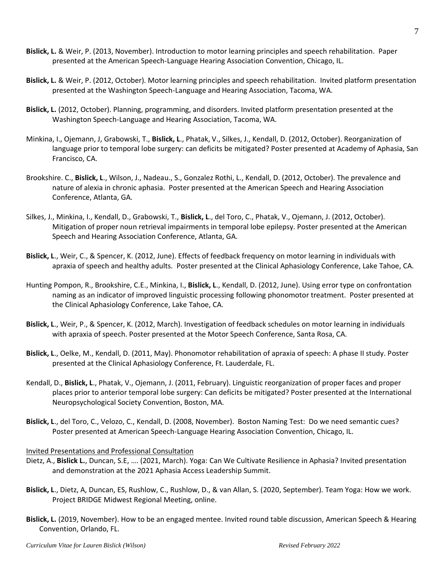- **Bislick, L.** & Weir, P. (2013, November). Introduction to motor learning principles and speech rehabilitation. Paper presented at the American Speech-Language Hearing Association Convention, Chicago, IL.
- **Bislick, L.** & Weir, P. (2012, October). Motor learning principles and speech rehabilitation. Invited platform presentation presented at the Washington Speech-Language and Hearing Association, Tacoma, WA.
- **Bislick, L.** (2012, October). Planning, programming, and disorders. Invited platform presentation presented at the Washington Speech-Language and Hearing Association, Tacoma, WA.
- Minkina, I., Ojemann, J, Grabowski, T., **Bislick, L**., Phatak, V., Silkes, J., Kendall, D. (2012, October). Reorganization of language prior to temporal lobe surgery: can deficits be mitigated? Poster presented at Academy of Aphasia, San Francisco, CA.
- Brookshire. C., **Bislick, L**., Wilson, J., Nadeau., S., Gonzalez Rothi, L., Kendall, D. (2012, October). The prevalence and nature of alexia in chronic aphasia. Poster presented at the American Speech and Hearing Association Conference, Atlanta, GA.
- Silkes, J., Minkina, I., Kendall, D., Grabowski, T., **Bislick, L**., del Toro, C., Phatak, V., Ojemann, J. (2012, October). Mitigation of proper noun retrieval impairments in temporal lobe epilepsy. Poster presented at the American Speech and Hearing Association Conference, Atlanta, GA.
- **Bislick, L**., Weir, C., & Spencer, K. (2012, June). Effects of feedback frequency on motor learning in individuals with apraxia of speech and healthy adults. Poster presented at the Clinical Aphasiology Conference, Lake Tahoe, CA.
- Hunting Pompon, R., Brookshire, C.E., Minkina, I., **Bislick, L**., Kendall, D. (2012, June). Using error type on confrontation naming as an indicator of improved linguistic processing following phonomotor treatment. Poster presented at the Clinical Aphasiology Conference, Lake Tahoe, CA.
- **Bislick, L**., Weir, P., & Spencer, K. (2012, March). Investigation of feedback schedules on motor learning in individuals with apraxia of speech. Poster presented at the Motor Speech Conference, Santa Rosa, CA.
- **Bislick, L**., Oelke, M., Kendall, D. (2011, May). Phonomotor rehabilitation of apraxia of speech: A phase II study. Poster presented at the Clinical Aphasiology Conference, Ft. Lauderdale, FL.
- Kendall, D., **Bislick, L**., Phatak, V., Ojemann, J. (2011, February). Linguistic reorganization of proper faces and proper places prior to anterior temporal lobe surgery: Can deficits be mitigated? Poster presented at the International Neuropsychological Society Convention, Boston, MA.
- **Bislick, L**., del Toro, C., Velozo, C., Kendall, D. (2008, November). Boston Naming Test: Do we need semantic cues? Poster presented at American Speech-Language Hearing Association Convention, Chicago, IL.

### Invited Presentations and Professional Consultation

- Dietz, A., **Bislick L.**, Duncan, S.E, …. (2021, March). Yoga: Can We Cultivate Resilience in Aphasia? Invited presentation and demonstration at the 2021 Aphasia Access Leadership Summit.
- **Bislick, L**., Dietz, A, Duncan, ES, Rushlow, C., Rushlow, D., & van Allan, S. (2020, September). Team Yoga: How we work. Project BRIDGE Midwest Regional Meeting, online.
- **Bislick, L.** (2019, November). How to be an engaged mentee. Invited round table discussion, American Speech & Hearing Convention, Orlando, FL.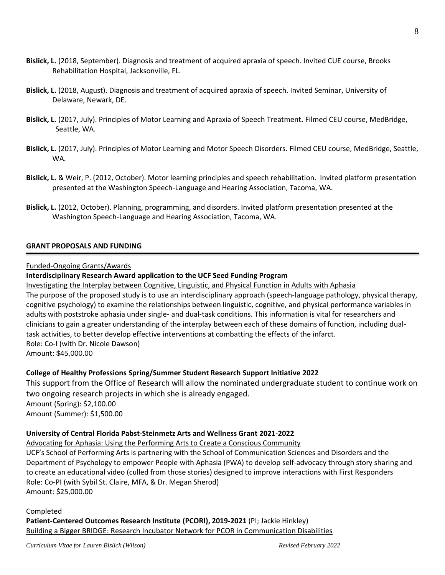- **Bislick, L.** (2018, September). Diagnosis and treatment of acquired apraxia of speech. Invited CUE course, Brooks Rehabilitation Hospital, Jacksonville, FL.
- **Bislick, L.** (2018, August). Diagnosis and treatment of acquired apraxia of speech. Invited Seminar, University of Delaware, Newark, DE.
- **Bislick, L.** (2017, July). Principles of Motor Learning and Apraxia of Speech Treatment**.** Filmed CEU course, MedBridge, Seattle, WA.
- **Bislick, L.** (2017, July). Principles of Motor Learning and Motor Speech Disorders. Filmed CEU course, MedBridge, Seattle, WA.
- **Bislick, L.** & Weir, P. (2012, October). Motor learning principles and speech rehabilitation. Invited platform presentation presented at the Washington Speech-Language and Hearing Association, Tacoma, WA.
- **Bislick, L.** (2012, October). Planning, programming, and disorders. Invited platform presentation presented at the Washington Speech-Language and Hearing Association, Tacoma, WA.

### **GRANT PROPOSALS AND FUNDING**

#### Funded-Ongoing Grants/Awards

### **Interdisciplinary Research Award application to the UCF Seed Funding Program**

Investigating the Interplay between Cognitive, Linguistic, and Physical Function in Adults with Aphasia

The purpose of the proposed study is to use an interdisciplinary approach (speech-language pathology, physical therapy, cognitive psychology) to examine the relationships between linguistic, cognitive, and physical performance variables in adults with poststroke aphasia under single- and dual-task conditions. This information is vital for researchers and clinicians to gain a greater understanding of the interplay between each of these domains of function, including dualtask activities, to better develop effective interventions at combatting the effects of the infarct. Role: Co-I (with Dr. Nicole Dawson) Amount: \$45,000.00

### **College of Healthy Professions Spring/Summer Student Research Support Initiative 2022**

This support from the Office of Research will allow the nominated undergraduate student to continue work on two ongoing research projects in which she is already engaged. Amount (Spring): \$2,100.00 Amount (Summer): \$1,500.00

### **University of Central Florida Pabst-Steinmetz Arts and Wellness Grant 2021-2022**

Advocating for Aphasia: Using the Performing Arts to Create a Conscious Community

UCF's School of Performing Arts is partnering with the School of Communication Sciences and Disorders and the Department of Psychology to empower People with Aphasia (PWA) to develop self-advocacy through story sharing and to create an educational video (culled from those stories) designed to improve interactions with First Responders Role: Co-PI (with Sybil St. Claire, MFA, & Dr. Megan Sherod) Amount: \$25,000.00

#### Completed

**Patient-Centered Outcomes Research Institute (PCORI), 2019-2021** (PI; Jackie Hinkley) Building a Bigger BRIDGE: Research Incubator Network for PCOR in Communication Disabilities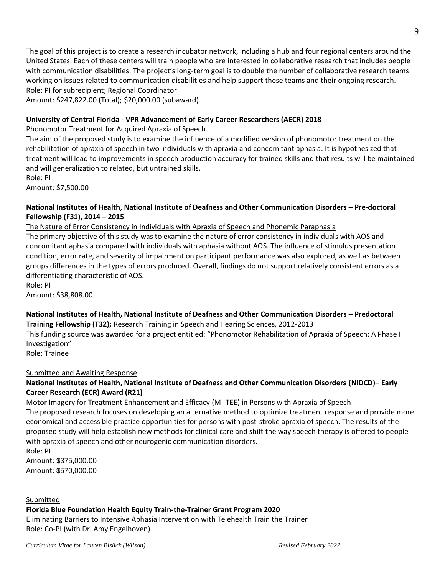The goal of this project is to create a research incubator network, including a hub and four regional centers around the United States. Each of these centers will train people who are interested in collaborative research that includes people with communication disabilities. The project's long-term goal is to double the number of collaborative research teams working on issues related to communication disabilities and help support these teams and their ongoing research. Role: PI for subrecipient; Regional Coordinator

Amount: \$247,822.00 (Total); \$20,000.00 (subaward)

### **University of Central Florida - VPR Advancement of Early Career Researchers (AECR) 2018**

Phonomotor Treatment for Acquired Apraxia of Speech

The aim of the proposed study is to examine the influence of a modified version of phonomotor treatment on the rehabilitation of apraxia of speech in two individuals with apraxia and concomitant aphasia. It is hypothesized that treatment will lead to improvements in speech production accuracy for trained skills and that results will be maintained and will generalization to related, but untrained skills. Role: PI

Amount: \$7,500.00

### **National Institutes of Health, National Institute of Deafness and Other Communication Disorders – Pre-doctoral Fellowship (F31), 2014 – 2015**

The Nature of Error Consistency in Individuals with Apraxia of Speech and Phonemic Paraphasia The primary objective of this study was to examine the nature of error consistency in individuals with AOS and concomitant aphasia compared with individuals with aphasia without AOS. The influence of stimulus presentation condition, error rate, and severity of impairment on participant performance was also explored, as well as between groups differences in the types of errors produced. Overall, findings do not support relatively consistent errors as a differentiating characteristic of AOS.

Role: PI Amount: \$38,808.00

**National Institutes of Health, National Institute of Deafness and Other Communication Disorders – Predoctoral Training Fellowship (T32);** Research Training in Speech and Hearing Sciences, 2012-2013

This funding source was awarded for a project entitled: "Phonomotor Rehabilitation of Apraxia of Speech: A Phase I Investigation"

Role: Trainee

### Submitted and Awaiting Response

### **National Institutes of Health, National Institute of Deafness and Other Communication Disorders (NIDCD)– Early Career Research (ECR) Award (R21)**

Motor Imagery for Treatment Enhancement and Efficacy (MI-TEE) in Persons with Apraxia of Speech The proposed research focuses on developing an alternative method to optimize treatment response and provide more economical and accessible practice opportunities for persons with post-stroke apraxia of speech. The results of the proposed study will help establish new methods for clinical care and shift the way speech therapy is offered to people

Role: PI Amount: \$375,000.00 Amount: \$570,000.00

Submitted **Florida Blue Foundation Health Equity Train-the-Trainer Grant Program 2020** Eliminating Barriers to Intensive Aphasia Intervention with Telehealth Train the Trainer Role: Co-PI (with Dr. Amy Engelhoven)

with apraxia of speech and other neurogenic communication disorders.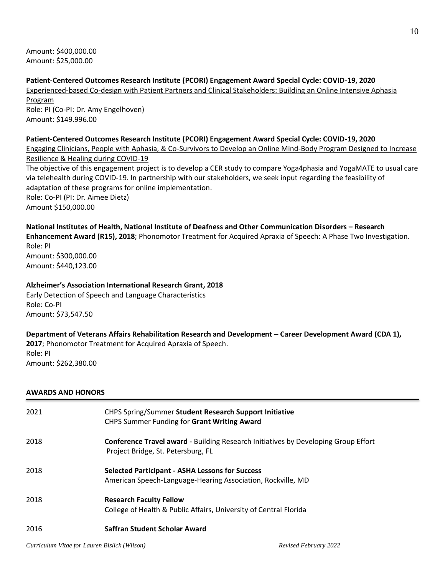Amount: \$400,000.00 Amount: \$25,000.00

**Patient-Centered Outcomes Research Institute (PCORI) Engagement Award Special Cycle: COVID-19, 2020** Experienced-based Co-design with Patient Partners and Clinical Stakeholders: Building an Online Intensive Aphasia Program Role: PI (Co-PI: Dr. Amy Engelhoven) Amount: \$149.996.00 **Patient-Centered Outcomes Research Institute (PCORI) Engagement Award Special Cycle: COVID-19, 2020** Engaging Clinicians, People with Aphasia, & Co-Survivors to Develop an Online Mind-Body Program Designed to Increase Resilience & Healing during COVID-19 The objective of this engagement project is to develop a CER study to compare Yoga4phasia and YogaMATE to usual care via telehealth during COVID-19. In partnership with our stakeholders, we seek input regarding the feasibility of adaptation of these programs for online implementation. Role: Co-PI (PI: Dr. Aimee Dietz) Amount \$150,000.00

## **National Institutes of Health, National Institute of Deafness and Other Communication Disorders – Research**

**Enhancement Award (R15), 2018**; Phonomotor Treatment for Acquired Apraxia of Speech: A Phase Two Investigation. Role: PI Amount: \$300,000.00

Amount: \$440,123.00

### **Alzheimer's Association International Research Grant, 2018**

Early Detection of Speech and Language Characteristics Role: Co-PI Amount: \$73,547.50

### **Department of Veterans Affairs Rehabilitation Research and Development – Career Development Award (CDA 1), 2017**; Phonomotor Treatment for Acquired Apraxia of Speech. Role: PI

Amount: \$262,380.00

### **AWARDS AND HONORS**

| 2021 | CHPS Spring/Summer Student Research Support Initiative<br>CHPS Summer Funding for Grant Writing Award                           |
|------|---------------------------------------------------------------------------------------------------------------------------------|
| 2018 | <b>Conference Travel award - Building Research Initiatives by Developing Group Effort</b><br>Project Bridge, St. Petersburg, FL |
| 2018 | <b>Selected Participant - ASHA Lessons for Success</b><br>American Speech-Language-Hearing Association, Rockville, MD           |
| 2018 | <b>Research Faculty Fellow</b><br>College of Health & Public Affairs, University of Central Florida                             |
| 2016 | Saffran Student Scholar Award                                                                                                   |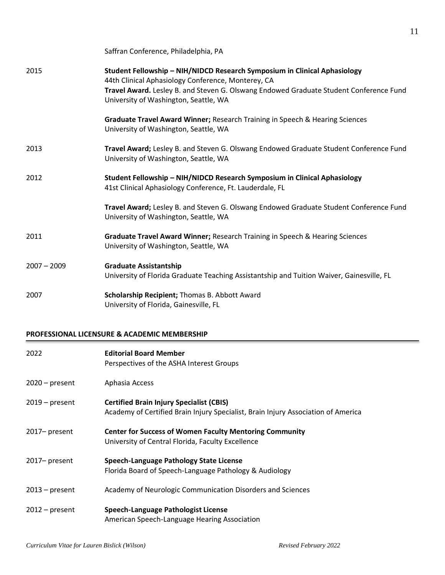|               | Saffran Conference, Philadelphia, PA                                                                                                                                                                                                                               |
|---------------|--------------------------------------------------------------------------------------------------------------------------------------------------------------------------------------------------------------------------------------------------------------------|
| 2015          | Student Fellowship - NIH/NIDCD Research Symposium in Clinical Aphasiology<br>44th Clinical Aphasiology Conference, Monterey, CA<br>Travel Award. Lesley B. and Steven G. Olswang Endowed Graduate Student Conference Fund<br>University of Washington, Seattle, WA |
|               | Graduate Travel Award Winner; Research Training in Speech & Hearing Sciences<br>University of Washington, Seattle, WA                                                                                                                                              |
| 2013          | Travel Award; Lesley B. and Steven G. Olswang Endowed Graduate Student Conference Fund<br>University of Washington, Seattle, WA                                                                                                                                    |
| 2012          | Student Fellowship - NIH/NIDCD Research Symposium in Clinical Aphasiology<br>41st Clinical Aphasiology Conference, Ft. Lauderdale, FL                                                                                                                              |
|               | Travel Award; Lesley B. and Steven G. Olswang Endowed Graduate Student Conference Fund<br>University of Washington, Seattle, WA                                                                                                                                    |
| 2011          | Graduate Travel Award Winner; Research Training in Speech & Hearing Sciences<br>University of Washington, Seattle, WA                                                                                                                                              |
| $2007 - 2009$ | <b>Graduate Assistantship</b><br>University of Florida Graduate Teaching Assistantship and Tuition Waiver, Gainesville, FL                                                                                                                                         |
| 2007          | Scholarship Recipient; Thomas B. Abbott Award<br>University of Florida, Gainesville, FL                                                                                                                                                                            |

#### **PROFESSIONAL LICENSURE & ACADEMIC MEMBERSHIP**

| 2022             | <b>Editorial Board Member</b><br>Perspectives of the ASHA Interest Groups                                                            |
|------------------|--------------------------------------------------------------------------------------------------------------------------------------|
| $2020$ – present | Aphasia Access                                                                                                                       |
| $2019$ – present | <b>Certified Brain Injury Specialist (CBIS)</b><br>Academy of Certified Brain Injury Specialist, Brain Injury Association of America |
| 2017-present     | <b>Center for Success of Women Faculty Mentoring Community</b><br>University of Central Florida, Faculty Excellence                  |
| $2017$ – present | Speech-Language Pathology State License<br>Florida Board of Speech-Language Pathology & Audiology                                    |
| $2013$ – present | Academy of Neurologic Communication Disorders and Sciences                                                                           |
| $2012$ – present | Speech-Language Pathologist License<br>American Speech-Language Hearing Association                                                  |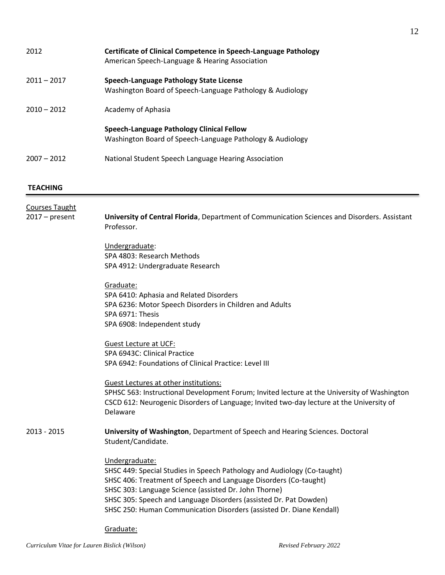| 2012                  | <b>Certificate of Clinical Competence in Speech-Language Pathology</b><br>American Speech-Language & Hearing Association                    |
|-----------------------|---------------------------------------------------------------------------------------------------------------------------------------------|
| $2011 - 2017$         | Speech-Language Pathology State License<br>Washington Board of Speech-Language Pathology & Audiology                                        |
| $2010 - 2012$         | Academy of Aphasia                                                                                                                          |
|                       | <b>Speech-Language Pathology Clinical Fellow</b><br>Washington Board of Speech-Language Pathology & Audiology                               |
| $2007 - 2012$         | National Student Speech Language Hearing Association                                                                                        |
| <b>TEACHING</b>       |                                                                                                                                             |
| <b>Courses Taught</b> |                                                                                                                                             |
| $2017 - present$      | University of Central Florida, Department of Communication Sciences and Disorders. Assistant<br>Professor.                                  |
|                       | Undergraduate:                                                                                                                              |
|                       | SPA 4803: Research Methods                                                                                                                  |
|                       | SPA 4912: Undergraduate Research                                                                                                            |
|                       | Graduate:                                                                                                                                   |
|                       | SPA 6410: Aphasia and Related Disorders                                                                                                     |
|                       | SPA 6236: Motor Speech Disorders in Children and Adults                                                                                     |
|                       | SPA 6971: Thesis<br>SPA 6908: Independent study                                                                                             |
|                       |                                                                                                                                             |
|                       | <b>Guest Lecture at UCF:</b>                                                                                                                |
|                       | SPA 6943C: Clinical Practice                                                                                                                |
|                       | SPA 6942: Foundations of Clinical Practice: Level III                                                                                       |
|                       | <b>Guest Lectures at other institutions:</b>                                                                                                |
|                       | SPHSC 563: Instructional Development Forum; Invited lecture at the University of Washington                                                 |
|                       | CSCD 612: Neurogenic Disorders of Language; Invited two-day lecture at the University of<br>Delaware                                        |
| 2013 - 2015           | University of Washington, Department of Speech and Hearing Sciences. Doctoral<br>Student/Candidate.                                         |
|                       |                                                                                                                                             |
|                       | Undergraduate:                                                                                                                              |
|                       | SHSC 449: Special Studies in Speech Pathology and Audiology (Co-taught)<br>SHSC 406: Treatment of Speech and Language Disorders (Co-taught) |
|                       | SHSC 303: Language Science (assisted Dr. John Thorne)                                                                                       |
|                       | SHSC 305: Speech and Language Disorders (assisted Dr. Pat Dowden)                                                                           |
|                       | SHSC 250: Human Communication Disorders (assisted Dr. Diane Kendall)                                                                        |
|                       | Graduate:                                                                                                                                   |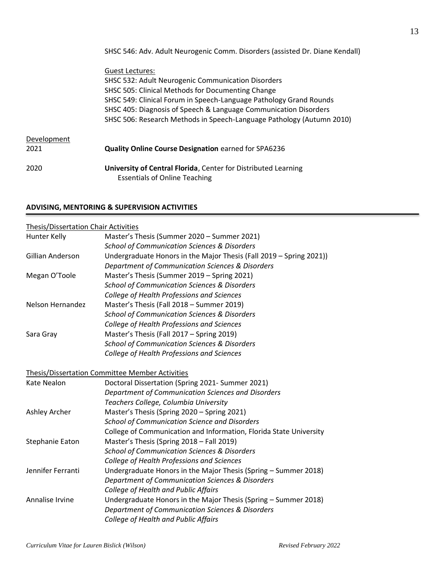SHSC 546: Adv. Adult Neurogenic Comm. Disorders (assisted Dr. Diane Kendall)

|             | Guest Lectures:                                                       |
|-------------|-----------------------------------------------------------------------|
|             | SHSC 532: Adult Neurogenic Communication Disorders                    |
|             | SHSC 505: Clinical Methods for Documenting Change                     |
|             | SHSC 549: Clinical Forum in Speech-Language Pathology Grand Rounds    |
|             | SHSC 405: Diagnosis of Speech & Language Communication Disorders      |
|             | SHSC 506: Research Methods in Speech-Language Pathology (Autumn 2010) |
|             |                                                                       |
| Development |                                                                       |
| 2021        | <b>Quality Online Course Designation earned for SPA6236</b>           |
|             |                                                                       |
| 2020        | University of Central Florida, Center for Distributed Learning        |
|             | <b>Essentials of Online Teaching</b>                                  |
|             |                                                                       |

### **ADVISING, MENTORING & SUPERVISION ACTIVITIES**

| <b>Thesis/Dissertation Chair Activities</b> |                                                                     |
|---------------------------------------------|---------------------------------------------------------------------|
| Hunter Kelly                                | Master's Thesis (Summer 2020 - Summer 2021)                         |
|                                             | <b>School of Communication Sciences &amp; Disorders</b>             |
| Gillian Anderson                            | Undergraduate Honors in the Major Thesis (Fall 2019 - Spring 2021)) |
|                                             | Department of Communication Sciences & Disorders                    |
| Megan O'Toole                               | Master's Thesis (Summer 2019 - Spring 2021)                         |
|                                             | <b>School of Communication Sciences &amp; Disorders</b>             |
|                                             | College of Health Professions and Sciences                          |
| Nelson Hernandez                            | Master's Thesis (Fall 2018 - Summer 2019)                           |
|                                             | <b>School of Communication Sciences &amp; Disorders</b>             |
|                                             | College of Health Professions and Sciences                          |
| Sara Gray                                   | Master's Thesis (Fall 2017 - Spring 2019)                           |
|                                             | <b>School of Communication Sciences &amp; Disorders</b>             |
|                                             | College of Health Professions and Sciences                          |
|                                             |                                                                     |
|                                             | Thesis/Dissertation Committee Member Activities                     |
| Kate Nealon                                 | Doctoral Dissertation (Spring 2021- Summer 2021)                    |
|                                             | Department of Communication Sciences and Disorders                  |
|                                             | Teachers College, Columbia University                               |
| Ashley Archer                               | Master's Thesis (Spring 2020 - Spring 2021)                         |
|                                             | School of Communication Science and Disorders                       |
|                                             | College of Communication and Information, Florida State University  |
| Stephanie Eaton                             | Master's Thesis (Spring 2018 - Fall 2019)                           |
|                                             | <b>School of Communication Sciences &amp; Disorders</b>             |
|                                             | College of Health Professions and Sciences                          |
| Jennifer Ferranti                           | Undergraduate Honors in the Major Thesis (Spring - Summer 2018)     |
|                                             | Department of Communication Sciences & Disorders                    |
|                                             | College of Health and Public Affairs                                |
| Annalise Irvine                             | Undergraduate Honors in the Major Thesis (Spring - Summer 2018)     |
|                                             | Department of Communication Sciences & Disorders                    |
|                                             | College of Health and Public Affairs                                |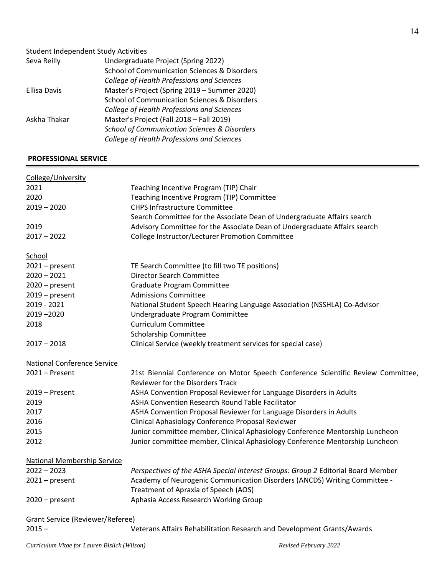### Student Independent Study Activities

| Seva Reilly  | Undergraduate Project (Spring 2022)                     |
|--------------|---------------------------------------------------------|
|              | School of Communication Sciences & Disorders            |
|              | College of Health Professions and Sciences              |
| Ellisa Davis | Master's Project (Spring 2019 - Summer 2020)            |
|              | School of Communication Sciences & Disorders            |
|              | College of Health Professions and Sciences              |
| Askha Thakar | Master's Project (Fall 2018 - Fall 2019)                |
|              | <b>School of Communication Sciences &amp; Disorders</b> |
|              | College of Health Professions and Sciences              |
|              |                                                         |

### **PROFESSIONAL SERVICE**

| College/University                      |                                                                                                                             |
|-----------------------------------------|-----------------------------------------------------------------------------------------------------------------------------|
| 2021                                    | Teaching Incentive Program (TIP) Chair                                                                                      |
| 2020                                    | Teaching Incentive Program (TIP) Committee                                                                                  |
| $2019 - 2020$                           | <b>CHPS Infrastructure Committee</b>                                                                                        |
|                                         | Search Committee for the Associate Dean of Undergraduate Affairs search                                                     |
| 2019                                    | Advisory Committee for the Associate Dean of Undergraduate Affairs search                                                   |
| $2017 - 2022$                           | College Instructor/Lecturer Promotion Committee                                                                             |
| School                                  |                                                                                                                             |
| $2021$ – present                        | TE Search Committee (to fill two TE positions)                                                                              |
| $2020 - 2021$                           | <b>Director Search Committee</b>                                                                                            |
| $2020$ – present                        | Graduate Program Committee                                                                                                  |
| $2019$ – present                        | <b>Admissions Committee</b>                                                                                                 |
| 2019 - 2021                             | National Student Speech Hearing Language Association (NSSHLA) Co-Advisor                                                    |
| $2019 - 2020$                           | Undergraduate Program Committee                                                                                             |
| 2018                                    | <b>Curriculum Committee</b>                                                                                                 |
|                                         | <b>Scholarship Committee</b>                                                                                                |
| $2017 - 2018$                           | Clinical Service (weekly treatment services for special case)                                                               |
| <b>National Conference Service</b>      |                                                                                                                             |
| $2021 -$ Present                        | 21st Biennial Conference on Motor Speech Conference Scientific Review Committee,<br><b>Reviewer for the Disorders Track</b> |
| $2019 -$ Present                        | ASHA Convention Proposal Reviewer for Language Disorders in Adults                                                          |
| 2019                                    | ASHA Convention Research Round Table Facilitator                                                                            |
| 2017                                    | ASHA Convention Proposal Reviewer for Language Disorders in Adults                                                          |
| 2016                                    | Clinical Aphasiology Conference Proposal Reviewer                                                                           |
| 2015                                    | Junior committee member, Clinical Aphasiology Conference Mentorship Luncheon                                                |
| 2012                                    | Junior committee member, Clinical Aphasiology Conference Mentorship Luncheon                                                |
| <b>National Membership Service</b>      |                                                                                                                             |
| $2022 - 2023$                           | Perspectives of the ASHA Special Interest Groups: Group 2 Editorial Board Member                                            |
| $2021$ – present                        | Academy of Neurogenic Communication Disorders (ANCDS) Writing Committee -                                                   |
|                                         | Treatment of Apraxia of Speech (AOS)                                                                                        |
| $2020$ – present                        | Aphasia Access Research Working Group                                                                                       |
| <b>Grant Service (Reviewer/Referee)</b> |                                                                                                                             |

2015 – Veterans Affairs Rehabilitation Research and Development Grants/Awards